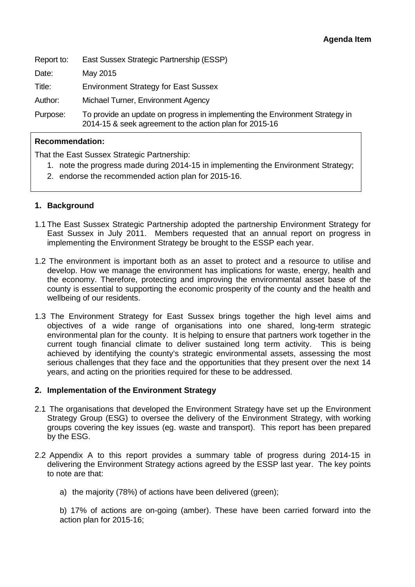| Report to: | East Sussex Strategic Partnership (ESSP)                                                                                                |
|------------|-----------------------------------------------------------------------------------------------------------------------------------------|
| Date:      | May 2015                                                                                                                                |
| Title:     | <b>Environment Strategy for East Sussex</b>                                                                                             |
| Author:    | Michael Turner, Environment Agency                                                                                                      |
| Purpose:   | To provide an update on progress in implementing the Environment Strategy in<br>2014-15 & seek agreement to the action plan for 2015-16 |

## **Recommendation:**

That the East Sussex Strategic Partnership:

- 1. note the progress made during 2014-15 in implementing the Environment Strategy;
- 2. endorse the recommended action plan for 2015-16.

## **1. Background**

- 1.1 The East Sussex Strategic Partnership adopted the partnership Environment Strategy for East Sussex in July 2011. Members requested that an annual report on progress in implementing the Environment Strategy be brought to the ESSP each year.
- 1.2 The environment is important both as an asset to protect and a resource to utilise and develop. How we manage the environment has implications for waste, energy, health and the economy. Therefore, protecting and improving the environmental asset base of the county is essential to supporting the economic prosperity of the county and the health and wellbeing of our residents.
- 1.3 The Environment Strategy for East Sussex brings together the high level aims and objectives of a wide range of organisations into one shared, long-term strategic environmental plan for the county. It is helping to ensure that partners work together in the current tough financial climate to deliver sustained long term activity. This is being achieved by identifying the county's strategic environmental assets, assessing the most serious challenges that they face and the opportunities that they present over the next 14 years, and acting on the priorities required for these to be addressed.

## **2. Implementation of the Environment Strategy**

- 2.1 The organisations that developed the Environment Strategy have set up the Environment Strategy Group (ESG) to oversee the delivery of the Environment Strategy, with working groups covering the key issues (eg. waste and transport). This report has been prepared by the ESG.
- 2.2 Appendix A to this report provides a summary table of progress during 2014-15 in delivering the Environment Strategy actions agreed by the ESSP last year. The key points to note are that:

a) the majority (78%) of actions have been delivered (green);

b) 17% of actions are on-going (amber). These have been carried forward into the action plan for 2015-16;